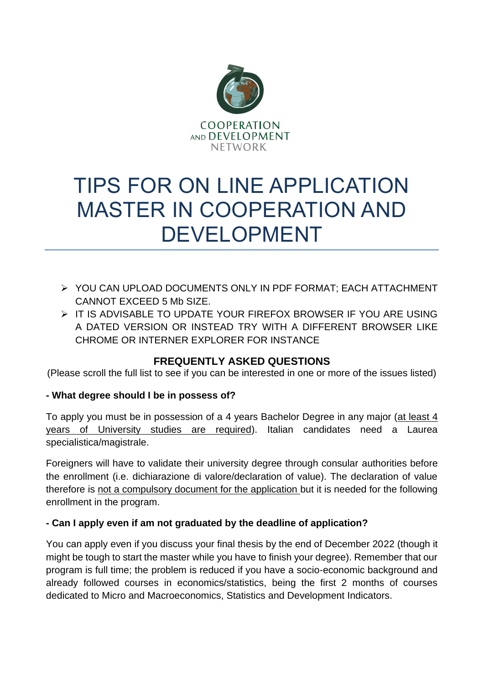

# TIPS FOR ON LINE APPLICATION MASTER IN COOPERATION AND DEVELOPMENT

- ➢ YOU CAN UPLOAD DOCUMENTS ONLY IN PDF FORMAT; EACH ATTACHMENT CANNOT EXCEED 5 Mb SIZE
- ➢ IT IS ADVISABLE TO UPDATE YOUR FIREFOX BROWSER IF YOU ARE USING A DATED VERSION OR INSTEAD TRY WITH A DIFFERENT BROWSER LIKE CHROME OR INTERNER EXPLORER FOR INSTANCE

# **FREQUENTLY ASKED QUESTIONS**

(Please scroll the full list to see if you can be interested in one or more of the issues listed)

# **- What degree should I be in possess of?**

To apply you must be in possession of a 4 years Bachelor Degree in any major (at least 4 years of University studies are required). Italian candidates need a Laurea specialistica/magistrale.

Foreigners will have to validate their university degree through consular authorities before the enrollment (i.e. dichiarazione di valore/declaration of value). The declaration of value therefore is not a compulsory document for the application but it is needed for the following enrollment in the program.

# **- Can I apply even if am not graduated by the deadline of application?**

You can apply even if you discuss your final thesis by the end of December 2022 (though it might be tough to start the master while you have to finish your degree). Remember that our program is full time; the problem is reduced if you have a socio-economic background and already followed courses in economics/statistics, being the first 2 months of courses dedicated to Micro and Macroeconomics, Statistics and Development Indicators.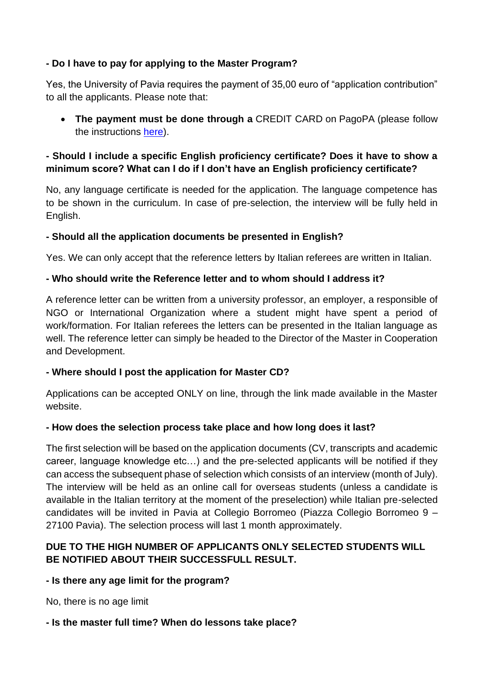# **- Do I have to pay for applying to the Master Program?**

Yes, the University of Pavia requires the payment of 35,00 euro of "application contribution" to all the applicants. Please note that:

• **The payment must be done through a** CREDIT CARD on PagoPA (please follow the instructions [here\)](mailto:http://www.cooperationdevelopment.org/wp-content/uploads/2020/05/PagoPAENGLISHdef.pdf).

# **- Should I include a specific English proficiency certificate? Does it have to show a minimum score? What can I do if I don't have an English proficiency certificate?**

No, any language certificate is needed for the application. The language competence has to be shown in the curriculum. In case of pre-selection, the interview will be fully held in English.

# **- Should all the application documents be presented in English?**

Yes. We can only accept that the reference letters by Italian referees are written in Italian.

# **- Who should write the Reference letter and to whom should I address it?**

A reference letter can be written from a university professor, an employer, a responsible of NGO or International Organization where a student might have spent a period of work/formation. For Italian referees the letters can be presented in the Italian language as well. The reference letter can simply be headed to the Director of the Master in Cooperation and Development.

## **- Where should I post the application for Master CD?**

Applications can be accepted ONLY on line, through the link made available in the Master website.

## **- How does the selection process take place and how long does it last?**

The first selection will be based on the application documents (CV, transcripts and academic career, language knowledge etc…) and the pre-selected applicants will be notified if they can access the subsequent phase of selection which consists of an interview (month of July). The interview will be held as an online call for overseas students (unless a candidate is available in the Italian territory at the moment of the preselection) while Italian pre-selected candidates will be invited in Pavia at Collegio Borromeo (Piazza Collegio Borromeo 9 – 27100 Pavia). The selection process will last 1 month approximately.

# **DUE TO THE HIGH NUMBER OF APPLICANTS ONLY SELECTED STUDENTS WILL BE NOTIFIED ABOUT THEIR SUCCESSFULL RESULT.**

## **- Is there any age limit for the program?**

No, there is no age limit

## **- Is the master full time? When do lessons take place?**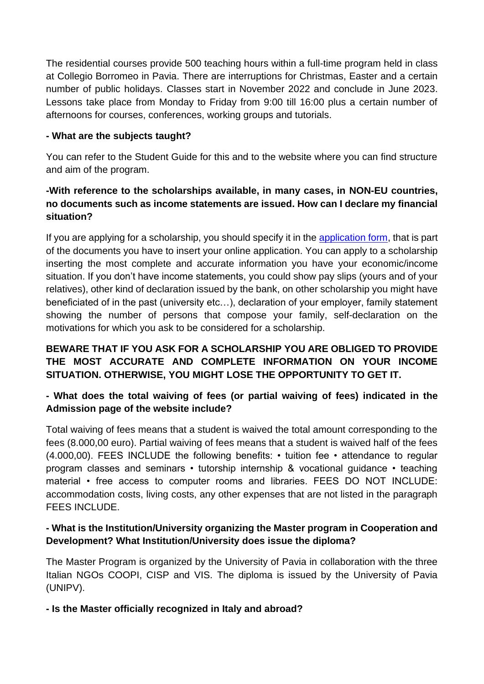The residential courses provide 500 teaching hours within a full-time program held in class at Collegio Borromeo in Pavia. There are interruptions for Christmas, Easter and a certain number of public holidays. Classes start in November 2022 and conclude in June 2023. Lessons take place from Monday to Friday from 9:00 till 16:00 plus a certain number of afternoons for courses, conferences, working groups and tutorials.

## **- What are the subjects taught?**

You can refer to the Student Guide for this and to the website where you can find structure and aim of the program.

# **-With reference to the scholarships available, in many cases, in NON-EU countries, no documents such as income statements are issued. How can I declare my financial situation?**

If you are applying for a scholarship, you should specify it in the [application form,](mailto:http://www.cooperationdevelopment.org/wp-content/uploads/2020/04/Application-form.pdf) that is part of the documents you have to insert your online application. You can apply to a scholarship inserting the most complete and accurate information you have your economic/income situation. If you don't have income statements, you could show pay slips (yours and of your relatives), other kind of declaration issued by the bank, on other scholarship you might have beneficiated of in the past (university etc…), declaration of your employer, family statement showing the number of persons that compose your family, self-declaration on the motivations for which you ask to be considered for a scholarship.

# **BEWARE THAT IF YOU ASK FOR A SCHOLARSHIP YOU ARE OBLIGED TO PROVIDE THE MOST ACCURATE AND COMPLETE INFORMATION ON YOUR INCOME SITUATION. OTHERWISE, YOU MIGHT LOSE THE OPPORTUNITY TO GET IT.**

# **- What does the total waiving of fees (or partial waiving of fees) indicated in the Admission page of the website include?**

Total waiving of fees means that a student is waived the total amount corresponding to the fees (8.000,00 euro). Partial waiving of fees means that a student is waived half of the fees (4.000,00). FEES INCLUDE the following benefits: • tuition fee • attendance to regular program classes and seminars • tutorship internship & vocational guidance • teaching material • free access to computer rooms and libraries. FEES DO NOT INCLUDE: accommodation costs, living costs, any other expenses that are not listed in the paragraph FFFS INCLUDE.

# **- What is the Institution/University organizing the Master program in Cooperation and Development? What Institution/University does issue the diploma?**

The Master Program is organized by the University of Pavia in collaboration with the three Italian NGOs COOPI, CISP and VIS. The diploma is issued by the University of Pavia (UNIPV).

**- Is the Master officially recognized in Italy and abroad?**